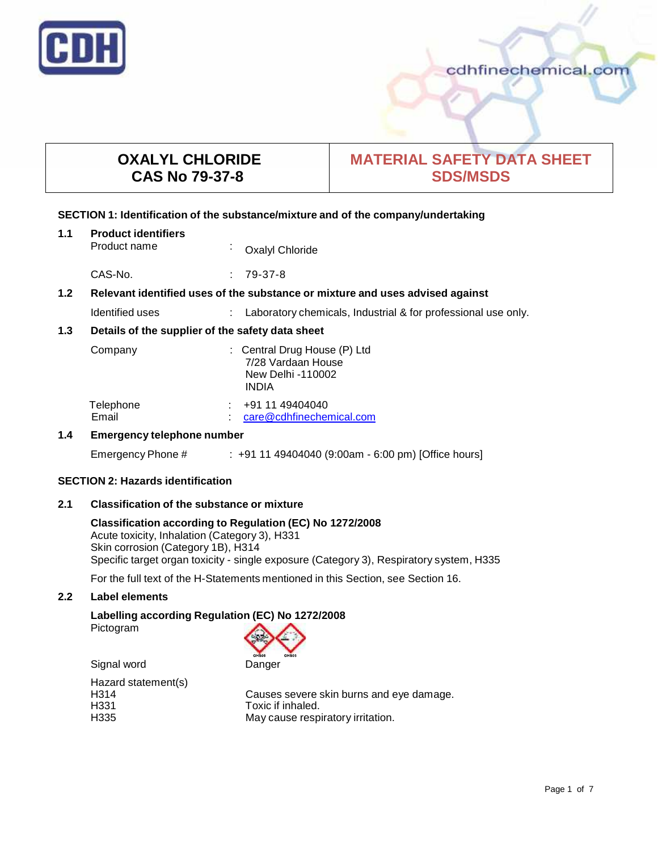

# **OXALYL CHLORIDE CAS No 79-37-8**

# **MATERIAL SAFETY DATA SHEET SDS/MSDS**

#### **SECTION 1: Identification of the substance/mixture and of the company/undertaking**

| 1.1 | <b>Product identifiers</b><br>Product name                                    | $\blacksquare$ | <b>Oxalyl Chloride</b>                                                                  |  |
|-----|-------------------------------------------------------------------------------|----------------|-----------------------------------------------------------------------------------------|--|
|     | CAS-No.                                                                       |                | 79-37-8                                                                                 |  |
| 1.2 | Relevant identified uses of the substance or mixture and uses advised against |                |                                                                                         |  |
|     | Identified uses                                                               |                | Laboratory chemicals, Industrial & for professional use only.                           |  |
| 1.3 | Details of the supplier of the safety data sheet                              |                |                                                                                         |  |
|     | Company                                                                       |                | : Central Drug House (P) Ltd<br>7/28 Vardaan House<br>New Delhi -110002<br><b>INDIA</b> |  |
|     | Telephone<br>Email                                                            |                | +91 11 49404040<br>care@cdhfinechemical.com                                             |  |
| 1.4 | <b>Emergency telephone number</b>                                             |                |                                                                                         |  |
|     | Emergency Phone #                                                             |                | $: +911149404040(9:00am - 6:00 pm)$ [Office hours]                                      |  |

# **SECTION 2: Hazards identification**

# **2.1 Classification of the substance ormixture**

## **Classification according to Regulation (EC) No 1272/2008** Acute toxicity, Inhalation (Category 3), H331 Skin corrosion (Category 1B), H314 Specific target organ toxicity - single exposure (Category 3), Respiratory system, H335

For the full text of the H-Statements mentioned in this Section, see Section 16.

# **2.2 Label elements**

# **Labelling according Regulation (EC) No 1272/2008**

Pictogram



Hazard statement(s)<br>H314 H331 Toxic if inhaled.

H314 Causes severe skin burns and eye damage.<br>H331 H331 May cause respiratory irritation.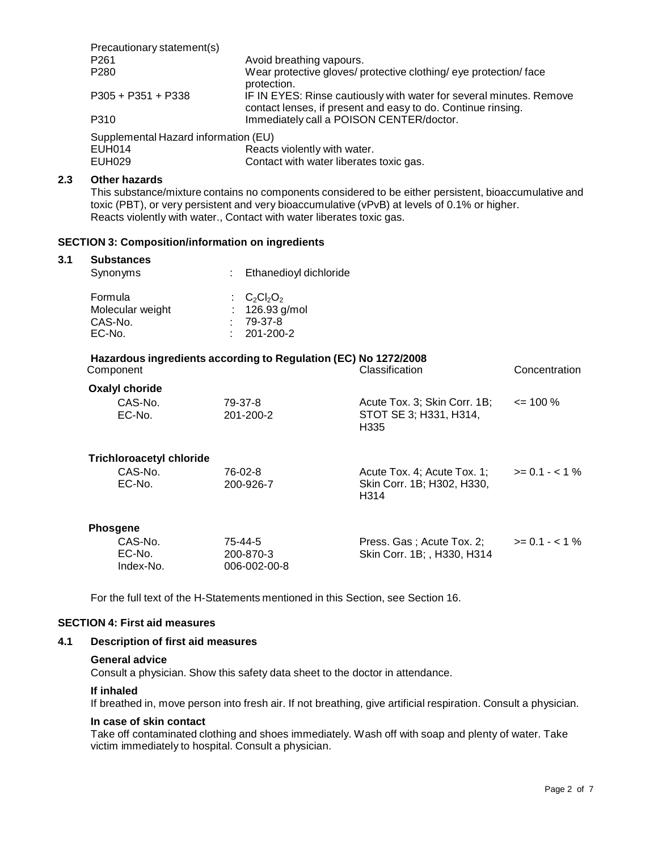| Precautionary statement(s)           |                                                                                                                                     |
|--------------------------------------|-------------------------------------------------------------------------------------------------------------------------------------|
| P <sub>261</sub>                     | Avoid breathing vapours.                                                                                                            |
| P <sub>280</sub>                     | Wear protective gloves/ protective clothing/ eye protection/ face<br>protection.                                                    |
| $P305 + P351 + P338$                 | IF IN EYES: Rinse cautiously with water for several minutes. Remove<br>contact lenses, if present and easy to do. Continue rinsing. |
| P310                                 | Immediately call a POISON CENTER/doctor.                                                                                            |
| Supplemental Hazard information (EU) |                                                                                                                                     |
| FUH014                               | Reacts violently with water                                                                                                         |

EUH014 Reacts violently with water.<br>EUH029 Contact with water liberates Contact with water liberates toxic gas.

# **2.3 Other hazards**

This substance/mixture contains no components considered to be either persistent, bioaccumulative and toxic (PBT), or very persistent and very bioaccumulative (vPvB) at levels of 0.1% or higher.<br>Reacts violently with water., Contact with water liberates toxic gas.

### **SECTION 3: Composition/information on ingredients**

#### **3.1 Substances**

| Synonyms         | : Ethanedioyl dichloride |
|------------------|--------------------------|
| Formula          | $C2Cl2O2$                |
| Molecular weight | : $126.93$ g/mol         |
| CAS-No.          | $.79-37-8$               |
| EC-No.           | $: 201 - 200 - 2$        |

| Hazardous ingredients according to Regulation (EC) No 1272/2008<br>Classification<br>Concentration<br>Component |                                      |                                                                   |                  |  |  |
|-----------------------------------------------------------------------------------------------------------------|--------------------------------------|-------------------------------------------------------------------|------------------|--|--|
| <b>Oxalyl choride</b>                                                                                           |                                      |                                                                   |                  |  |  |
| CAS-No.<br>EC-No.                                                                                               | 79-37-8<br>201-200-2                 | Acute Tox. 3; Skin Corr. 1B;<br>STOT SE 3; H331, H314,<br>H335    | $\leq$ 100 %     |  |  |
| <b>Trichloroacetyl chloride</b>                                                                                 |                                      |                                                                   |                  |  |  |
| CAS-No.<br>EC-No.                                                                                               | 76-02-8<br>200-926-7                 | Acute Tox. 4; Acute Tox. 1;<br>Skin Corr. 1B; H302, H330,<br>H314 | $>= 0.1 - 1\%$   |  |  |
| <b>Phosgene</b>                                                                                                 |                                      |                                                                   |                  |  |  |
| CAS-No.<br>EC-No.<br>Index-No.                                                                                  | 75-44-5<br>200-870-3<br>006-002-00-8 | Press. Gas; Acute Tox. 2;<br>Skin Corr. 1B; , H330, H314          | $>= 0.1 - < 1\%$ |  |  |

For the full text of the H-Statements mentioned in this Section, see Section 16.

### **SECTION 4: First aid measures**

#### **4.1 Description of first aid measures**

#### **General advice**

Consult a physician. Show this safety data sheet to the doctor in attendance.

#### **If inhaled**

If breathed in, move person into fresh air. If not breathing, give artificial respiration. Consult a physician.

## **In case of skin contact**

Take off contaminated clothing and shoes immediately. Wash off with soap and plenty of water. Take victim immediately to hospital. Consult a physician.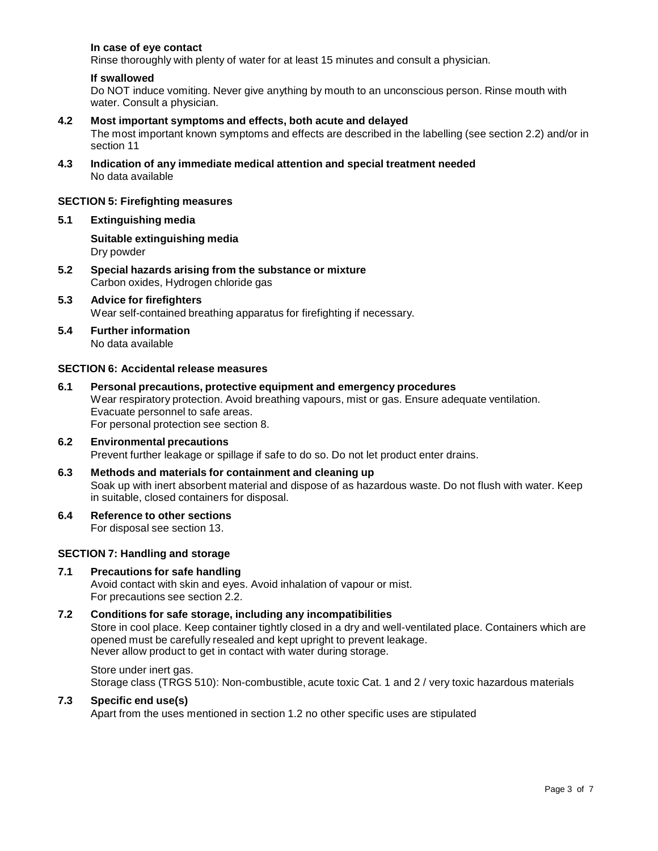### **In case of eye contact**

Rinse thoroughly with plenty of water for at least 15 minutes and consult a physician.

#### **If swallowed**

Do NOT induce vomiting. Never give anything by mouth to an unconscious person. Rinse mouth with water. Consult a physician.

#### **4.2 Most important symptoms and effects, both acute and delayed**

The most important known symptoms and effects are described in the labelling (see section 2.2) and/or in section 11

**4.3 Indication of any immediate medical attention and special treatment needed** No data available

#### **SECTION 5: Firefighting measures**

#### **5.1 Extinguishing media**

**Suitable extinguishing media** Dry powder

- **5.2 Special hazards arising from the substance ormixture** Carbon oxides, Hydrogen chloride gas
- **5.3 Advice for firefighters** Wear self-contained breathing apparatus for firefighting if necessary.
- **5.4 Further information** No data available

#### **SECTION 6: Accidental release measures**

- **6.1 Personal precautions, protective equipment and emergency procedures** Wear respiratory protection. Avoid breathing vapours, mist or gas. Ensure adequate ventilation. Evacuate personnel to safe areas. For personal protection see section 8.
- **6.2 Environmental precautions** Prevent further leakage or spillage if safe to do so. Do not let product enter drains.
- **6.3 Methods and materials for containment and cleaning up** Soak up with inert absorbent material and dispose of as hazardous waste. Do not flush with water. Keep in suitable, closed containers for disposal.
- **6.4 Reference to other sections**

For disposal see section 13.

#### **SECTION 7: Handling and storage**

#### **7.1 Precautions for safe handling**

Avoid contact with skin and eyes. Avoid inhalation of vapour or mist. For precautions see section 2.2.

## **7.2 Conditions for safe storage, including any incompatibilities**

Store in cool place. Keep container tightly closed in a dry and well-ventilated place. Containers which are opened must be carefully resealed and kept upright to prevent leakage. Never allow product to get in contact with water during storage.

Store under inert gas. Storage class (TRGS 510): Non-combustible, acute toxic Cat. 1 and 2 / very toxic hazardous materials

#### **7.3 Specific end use(s)**

Apart from the uses mentioned in section 1.2 no other specific uses are stipulated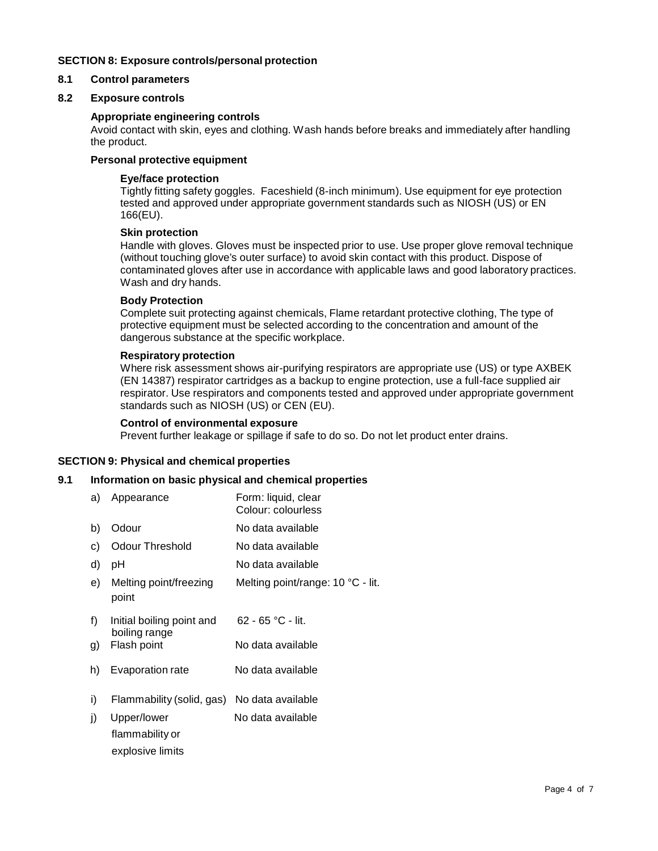### **SECTION 8: Exposure controls/personal protection**

# **8.1 Control parameters**

## **8.2 Exposure controls**

#### **Appropriate engineering controls**

Avoid contact with skin, eyes and clothing. Wash hands before breaks and immediately after handling the product.

## **Personal protective equipment**

#### **Eye/face protection**

Tightly fitting safety goggles. Faceshield (8-inch minimum). Use equipment for eye protection tested and approved under appropriate government standards such as NIOSH (US) or EN 166(EU).

#### **Skin protection**

Handle with gloves. Gloves must be inspected prior to use. Use proper glove removal technique (without touching glove's outer surface) to avoid skin contact with this product. Dispose of contaminated gloves after use in accordance with applicable laws and good laboratory practices. Wash and dry hands.

#### **Body Protection**

Complete suit protecting against chemicals, Flame retardant protective clothing, The type of protective equipment must be selected according to the concentration and amount of the dangerous substance at the specific workplace.

#### **Respiratory protection**

Where risk assessment shows air-purifying respirators are appropriate use (US) or type AXBEK (EN 14387) respirator cartridges as a backup to engine protection, use a full-face supplied air respirator. Use respirators and components tested and approved under appropriate government standards such as NIOSH (US) or CEN (EU).

#### **Control of environmental exposure**

Prevent further leakage or spillage if safe to do so. Do not let product enter drains.

#### **SECTION 9: Physical and chemical properties**

#### **9.1 Information on basic physical and chemical properties**

| a) | Appearance                      | Form: liquid, clear<br>Colour: colourless |
|----|---------------------------------|-------------------------------------------|
| b) | Odour                           | No data available                         |
| C) | <b>Odour Threshold</b>          | No data available                         |
| d) | рH                              | No data available                         |
| e) | Melting point/freezing<br>point | Melting point/range: 10 °C - lit.         |
| f) | Initial boiling point and       | $62 - 65$ °C - lit.                       |
| g) | boiling range<br>Flash point    | No data available                         |
| h) | Evaporation rate                | No data available                         |
| i) | Flammability (solid, gas)       | No data available                         |
| j) | Upper/lower                     | No data available                         |
|    | flammability or                 |                                           |
|    | explosive limits                |                                           |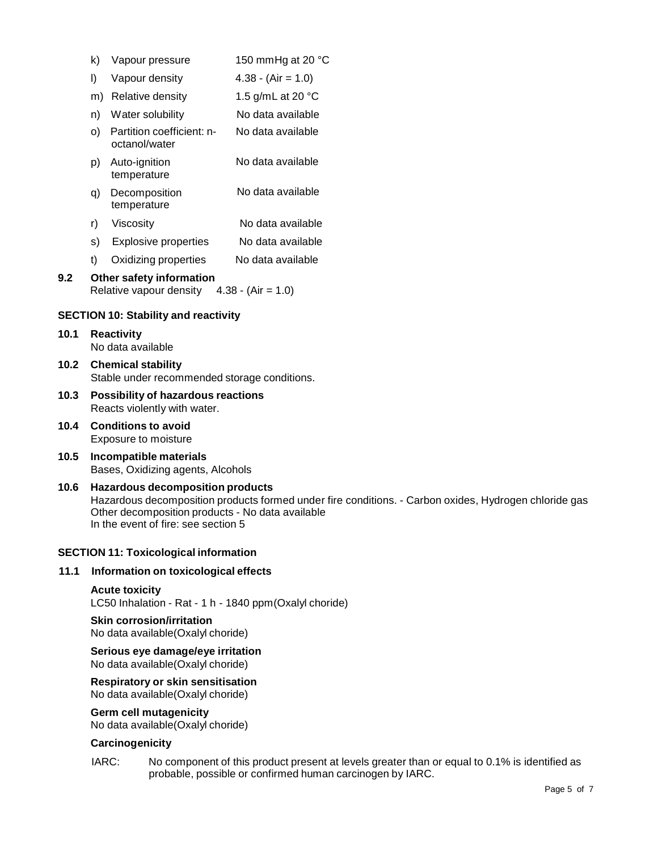|                                             | k)                                                                          | Vapour pressure                            | 150 mmHg at 20 °C           |
|---------------------------------------------|-----------------------------------------------------------------------------|--------------------------------------------|-----------------------------|
|                                             | I)                                                                          | Vapour density                             | $4.38 - (Air = 1.0)$        |
|                                             | m)                                                                          | Relative density                           | 1.5 g/mL at 20 $^{\circ}$ C |
|                                             | n)                                                                          | Water solubility                           | No data available           |
|                                             | O).                                                                         | Partition coefficient: n-<br>octanol/water | No data available           |
|                                             | p)                                                                          | Auto-ignition<br>temperature               | No data available           |
|                                             | q)                                                                          | Decomposition<br>temperature               | No data available           |
|                                             | r)                                                                          | Viscosity                                  | No data available           |
|                                             | s)                                                                          | Explosive properties                       | No data available           |
|                                             | t)                                                                          | Oxidizing properties                       | No data available           |
| 9.2                                         | Other safety information<br>Relative vapour density<br>$4.38 - (Air = 1.0)$ |                                            |                             |
| <b>SECTION 10: Stability and reactivity</b> |                                                                             |                                            |                             |

- **10.1 Reactivity** No data available
- **10.2 Chemical stability** Stable under recommended storage conditions.
- **10.3 Possibility of hazardous reactions** Reacts violently with water.
- **10.4 Conditions to avoid** Exposure to moisture
- **10.5 Incompatible materials** Bases, Oxidizing agents, Alcohols
- **10.6 Hazardous decomposition products** Hazardous decomposition products formed under fire conditions. - Carbon oxides, Hydrogen chloride gas Other decomposition products - No data available In the event of fire: see section 5

# **SECTION 11: Toxicological information**

#### **11.1 Information on toxicological effects**

#### **Acute toxicity**

LC50 Inhalation - Rat - 1 h - 1840 ppm(Oxalyl choride)

# **Skin corrosion/irritation**

No data available(Oxalyl choride)

**Serious eye damage/eye irritation** No data available(Oxalyl choride)

# **Respiratory orskin sensitisation**

No data available(Oxalyl choride)

#### **Germ cell mutagenicity**

No data available(Oxalyl choride)

#### **Carcinogenicity**

IARC: No component of this product present at levels greater than or equal to 0.1% is identified as probable, possible or confirmed human carcinogen by IARC.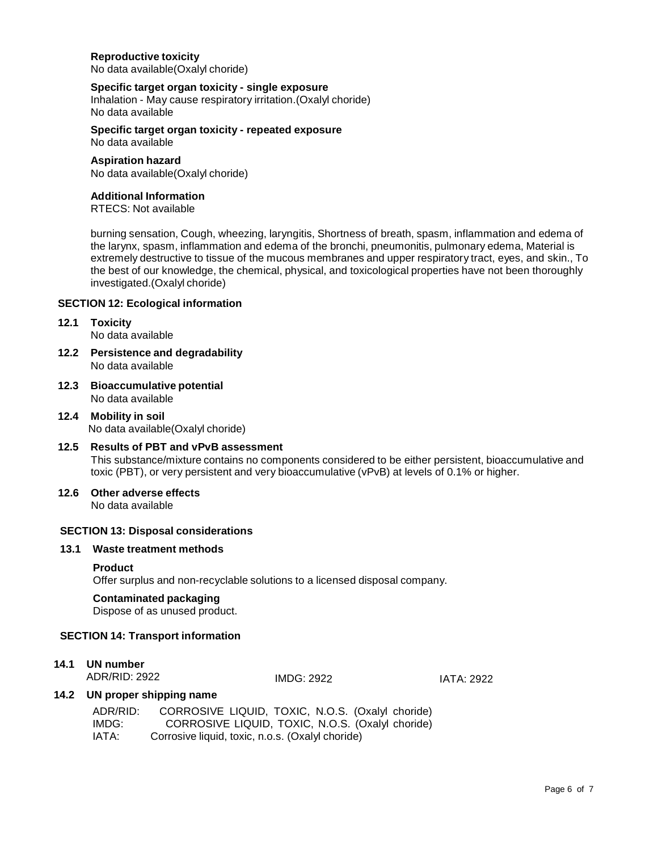#### **Reproductive toxicity** No data available(Oxalyl choride)

#### **Specific target organ toxicity - single exposure**

Inhalation - May cause respiratory irritation.(Oxalyl choride) No data available

**Specific target organ toxicity - repeated exposure** No data available

#### **Aspiration hazard**

No data available(Oxalyl choride)

#### **Additional Information**

RTECS: Not available

burning sensation, Cough, wheezing, laryngitis, Shortness of breath, spasm, inflammation and edema of the larynx, spasm, inflammation and edema of the bronchi, pneumonitis, pulmonary edema, Material is extremely destructive to tissue of the mucous membranes and upper respiratory tract, eyes, and skin., To the best of our knowledge, the chemical, physical, and toxicological properties have not been thoroughly investigated.(Oxalyl choride)

#### **SECTION 12: Ecological information**

# **12.1 Toxicity**

No data available

- **12.2 Persistence and degradability** No data available
- **12.3 Bioaccumulative potential** No data available
- **12.4 Mobility in soil** No data available(Oxalyl choride)
- **12.5 Results of PBT and vPvB assessment** This substance/mixture contains no components considered to be either persistent, bioaccumulative and toxic (PBT), or very persistent and very bioaccumulative (vPvB) at levels of 0.1% or higher.
- **12.6 Other adverse effects** No data available

#### **SECTION 13: Disposal considerations**

## **13.1 Waste treatment methods**

#### **Product**

Offer surplus and non-recyclable solutions to a licensed disposal company.

#### **Contaminated packaging**

Dispose of as unused product.

#### **SECTION 14: Transport information**

# **14.1 UN number**

ADR/RID: 2922

IMDG: 2922 IATA: 2922

#### **14.2 UN proper shipping name**

| ADR/RID: | CORROSIVE LIQUID, TOXIC, N.O.S. (Oxalyl choride) |
|----------|--------------------------------------------------|
| IMDG:    | CORROSIVE LIQUID, TOXIC, N.O.S. (Oxalyl choride) |
| IATA:    | Corrosive liquid, toxic, n.o.s. (Oxalyl choride) |